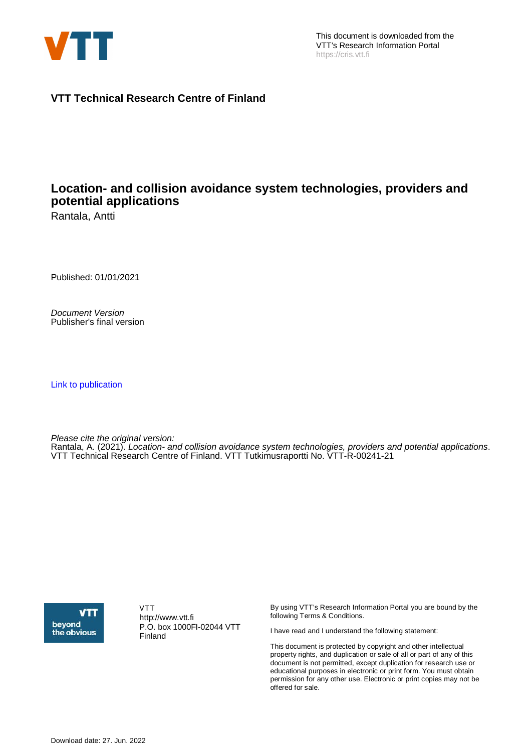

**VTT Technical Research Centre of Finland**

## **Location- and collision avoidance system technologies, providers and potential applications**

Rantala, Antti

Published: 01/01/2021

Document Version Publisher's final version

[Link to publication](https://cris.vtt.fi/en/publications/d229ef3f-813c-4aa8-be60-9b1eea267860)

Please cite the original version:

Rantala, A. (2021). Location- and collision avoidance system technologies, providers and potential applications. VTT Technical Research Centre of Finland. VTT Tutkimusraportti No. VTT-R-00241-21



VTT http://www.vtt.fi P.O. box 1000FI-02044 VTT Finland

By using VTT's Research Information Portal you are bound by the following Terms & Conditions.

I have read and I understand the following statement:

This document is protected by copyright and other intellectual property rights, and duplication or sale of all or part of any of this document is not permitted, except duplication for research use or educational purposes in electronic or print form. You must obtain permission for any other use. Electronic or print copies may not be offered for sale.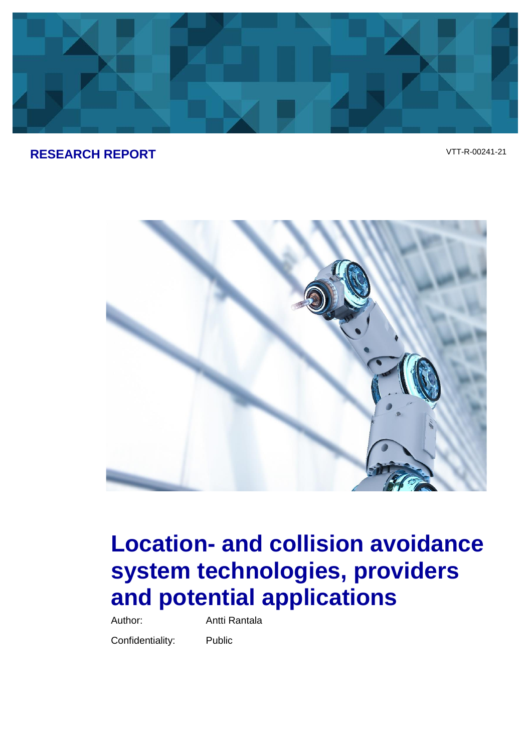

# **RESEARCH REPORT** VTT-R-00241-21



# **Location- and collision avoidance system technologies, providers and potential applications**

Author: Antti Rantala

Confidentiality: Public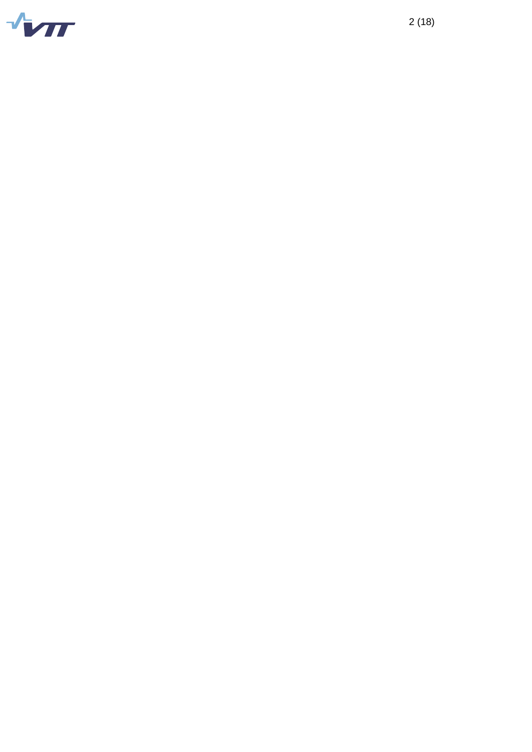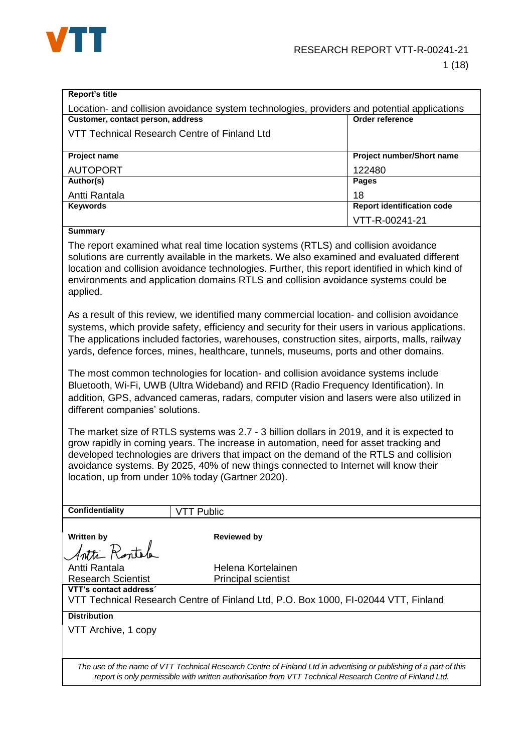

| <b>Report's title</b>                                                                                                                                                                                                                                                                                                                                                                                                     |                                                                                                                                                                                                                                                                                                                                                                                                                                                                               |                                   |  |  |  |  |
|---------------------------------------------------------------------------------------------------------------------------------------------------------------------------------------------------------------------------------------------------------------------------------------------------------------------------------------------------------------------------------------------------------------------------|-------------------------------------------------------------------------------------------------------------------------------------------------------------------------------------------------------------------------------------------------------------------------------------------------------------------------------------------------------------------------------------------------------------------------------------------------------------------------------|-----------------------------------|--|--|--|--|
|                                                                                                                                                                                                                                                                                                                                                                                                                           | Location- and collision avoidance system technologies, providers and potential applications                                                                                                                                                                                                                                                                                                                                                                                   |                                   |  |  |  |  |
| Customer, contact person, address<br>Order reference                                                                                                                                                                                                                                                                                                                                                                      |                                                                                                                                                                                                                                                                                                                                                                                                                                                                               |                                   |  |  |  |  |
| <b>VTT Technical Research Centre of Finland Ltd</b>                                                                                                                                                                                                                                                                                                                                                                       |                                                                                                                                                                                                                                                                                                                                                                                                                                                                               |                                   |  |  |  |  |
|                                                                                                                                                                                                                                                                                                                                                                                                                           |                                                                                                                                                                                                                                                                                                                                                                                                                                                                               |                                   |  |  |  |  |
| <b>Project name</b>                                                                                                                                                                                                                                                                                                                                                                                                       |                                                                                                                                                                                                                                                                                                                                                                                                                                                                               | Project number/Short name         |  |  |  |  |
| <b>AUTOPORT</b>                                                                                                                                                                                                                                                                                                                                                                                                           |                                                                                                                                                                                                                                                                                                                                                                                                                                                                               | 122480                            |  |  |  |  |
| Author(s)                                                                                                                                                                                                                                                                                                                                                                                                                 |                                                                                                                                                                                                                                                                                                                                                                                                                                                                               | Pages                             |  |  |  |  |
| Antti Rantala                                                                                                                                                                                                                                                                                                                                                                                                             |                                                                                                                                                                                                                                                                                                                                                                                                                                                                               | 18                                |  |  |  |  |
| <b>Keywords</b>                                                                                                                                                                                                                                                                                                                                                                                                           |                                                                                                                                                                                                                                                                                                                                                                                                                                                                               | <b>Report identification code</b> |  |  |  |  |
|                                                                                                                                                                                                                                                                                                                                                                                                                           |                                                                                                                                                                                                                                                                                                                                                                                                                                                                               | VTT-R-00241-21                    |  |  |  |  |
| <b>Summary</b>                                                                                                                                                                                                                                                                                                                                                                                                            |                                                                                                                                                                                                                                                                                                                                                                                                                                                                               |                                   |  |  |  |  |
| applied.                                                                                                                                                                                                                                                                                                                                                                                                                  | The report examined what real time location systems (RTLS) and collision avoidance<br>solutions are currently available in the markets. We also examined and evaluated different<br>location and collision avoidance technologies. Further, this report identified in which kind of<br>environments and application domains RTLS and collision avoidance systems could be                                                                                                     |                                   |  |  |  |  |
|                                                                                                                                                                                                                                                                                                                                                                                                                           | As a result of this review, we identified many commercial location- and collision avoidance<br>systems, which provide safety, efficiency and security for their users in various applications.<br>The applications included factories, warehouses, construction sites, airports, malls, railway<br>yards, defence forces, mines, healthcare, tunnels, museums, ports and other domains.<br>The most common technologies for location- and collision avoidance systems include |                                   |  |  |  |  |
| different companies' solutions.                                                                                                                                                                                                                                                                                                                                                                                           | Bluetooth, Wi-Fi, UWB (Ultra Wideband) and RFID (Radio Frequency Identification). In<br>addition, GPS, advanced cameras, radars, computer vision and lasers were also utilized in                                                                                                                                                                                                                                                                                             |                                   |  |  |  |  |
| The market size of RTLS systems was 2.7 - 3 billion dollars in 2019, and it is expected to<br>grow rapidly in coming years. The increase in automation, need for asset tracking and<br>developed technologies are drivers that impact on the demand of the RTLS and collision<br>avoidance systems. By 2025, 40% of new things connected to Internet will know their<br>location, up from under 10% today (Gartner 2020). |                                                                                                                                                                                                                                                                                                                                                                                                                                                                               |                                   |  |  |  |  |
| <b>Confidentiality</b>                                                                                                                                                                                                                                                                                                                                                                                                    | <b>VTT Public</b>                                                                                                                                                                                                                                                                                                                                                                                                                                                             |                                   |  |  |  |  |
| Written by<br><b>Reviewed by</b><br>Intti Rontela                                                                                                                                                                                                                                                                                                                                                                         |                                                                                                                                                                                                                                                                                                                                                                                                                                                                               |                                   |  |  |  |  |
| Antti Rantala<br><b>Research Scientist</b>                                                                                                                                                                                                                                                                                                                                                                                | Helena Kortelainen<br><b>Principal scientist</b>                                                                                                                                                                                                                                                                                                                                                                                                                              |                                   |  |  |  |  |
| VTT's contact address'<br>VTT Technical Research Centre of Finland Ltd, P.O. Box 1000, FI-02044 VTT, Finland                                                                                                                                                                                                                                                                                                              |                                                                                                                                                                                                                                                                                                                                                                                                                                                                               |                                   |  |  |  |  |
| <b>Distribution</b>                                                                                                                                                                                                                                                                                                                                                                                                       |                                                                                                                                                                                                                                                                                                                                                                                                                                                                               |                                   |  |  |  |  |
| VTT Archive, 1 copy                                                                                                                                                                                                                                                                                                                                                                                                       |                                                                                                                                                                                                                                                                                                                                                                                                                                                                               |                                   |  |  |  |  |
|                                                                                                                                                                                                                                                                                                                                                                                                                           |                                                                                                                                                                                                                                                                                                                                                                                                                                                                               |                                   |  |  |  |  |

*The use of the name of VTT Technical Research Centre of Finland Ltd in advertising or publishing of a part of this report is only permissible with written authorisation from VTT Technical Research Centre of Finland Ltd.*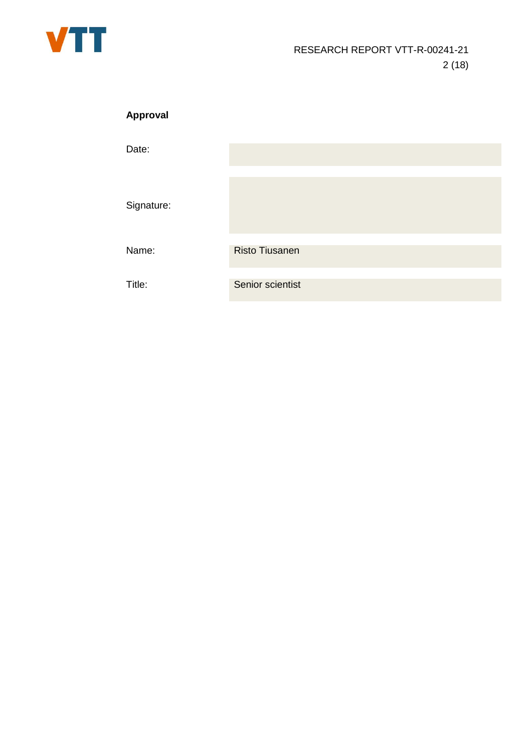

| <b>Approval</b> |                       |
|-----------------|-----------------------|
| Date:           |                       |
| Signature:      |                       |
| Name:           | <b>Risto Tiusanen</b> |
| Title:          | Senior scientist      |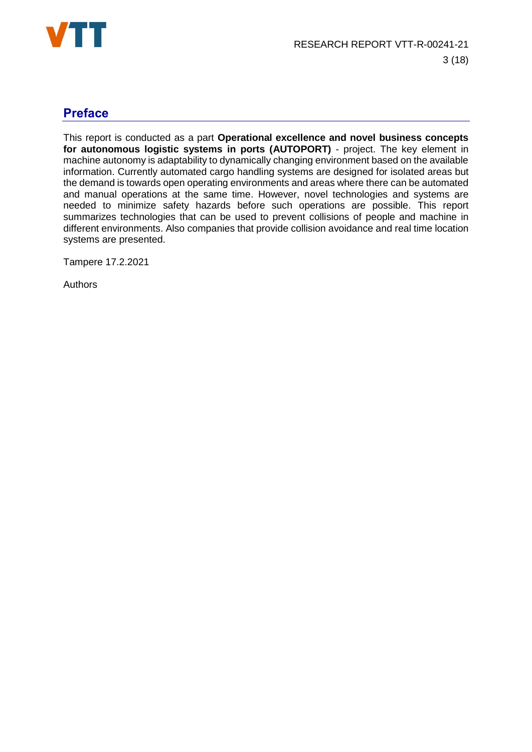

## **Preface**

This report is conducted as a part **Operational excellence and novel business concepts for autonomous logistic systems in ports (AUTOPORT)** - project. The key element in machine autonomy is adaptability to dynamically changing environment based on the available information. Currently automated cargo handling systems are designed for isolated areas but the demand is towards open operating environments and areas where there can be automated and manual operations at the same time. However, novel technologies and systems are needed to minimize safety hazards before such operations are possible. This report summarizes technologies that can be used to prevent collisions of people and machine in different environments. Also companies that provide collision avoidance and real time location systems are presented.

Tampere 17.2.2021

Authors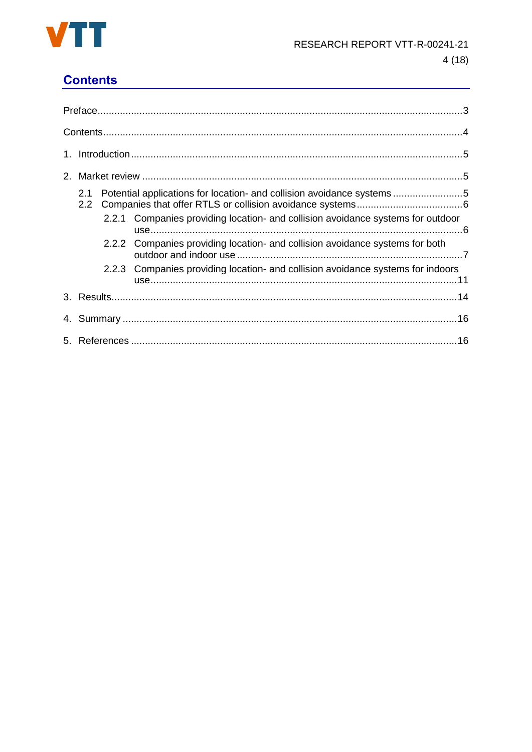

# **Contents**

| 2.1<br>2.2 | Potential applications for location- and collision avoidance systems5           |  |
|------------|---------------------------------------------------------------------------------|--|
|            | 2.2.1 Companies providing location- and collision avoidance systems for outdoor |  |
|            | 2.2.2 Companies providing location- and collision avoidance systems for both    |  |
|            | 2.2.3 Companies providing location- and collision avoidance systems for indoors |  |
|            |                                                                                 |  |
|            |                                                                                 |  |
|            |                                                                                 |  |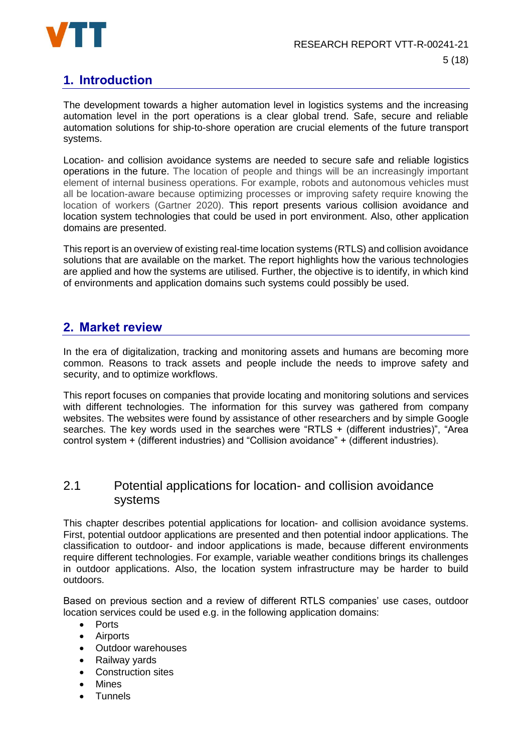

# **1. Introduction**

The development towards a higher automation level in logistics systems and the increasing automation level in the port operations is a clear global trend. Safe, secure and reliable automation solutions for ship-to-shore operation are crucial elements of the future transport systems.

Location- and collision avoidance systems are needed to secure safe and reliable logistics operations in the future. The location of people and things will be an increasingly important element of internal business operations. For example, robots and autonomous vehicles must all be location-aware because optimizing processes or improving safety require knowing the location of workers (Gartner 2020). This report presents various collision avoidance and location system technologies that could be used in port environment. Also, other application domains are presented.

This report is an overview of existing real-time location systems (RTLS) and collision avoidance solutions that are available on the market. The report highlights how the various technologies are applied and how the systems are utilised. Further, the objective is to identify, in which kind of environments and application domains such systems could possibly be used.

## **2. Market review**

In the era of digitalization, tracking and monitoring assets and humans are becoming more common. Reasons to track assets and people include the needs to improve safety and security, and to optimize workflows.

This report focuses on companies that provide locating and monitoring solutions and services with different technologies. The information for this survey was gathered from company websites. The websites were found by assistance of other researchers and by simple Google searches. The key words used in the searches were "RTLS + (different industries)", "Area control system + (different industries) and "Collision avoidance" + (different industries).

### 2.1 Potential applications for location- and collision avoidance systems

This chapter describes potential applications for location- and collision avoidance systems. First, potential outdoor applications are presented and then potential indoor applications. The classification to outdoor- and indoor applications is made, because different environments require different technologies. For example, variable weather conditions brings its challenges in outdoor applications. Also, the location system infrastructure may be harder to build outdoors.

Based on previous section and a review of different RTLS companies' use cases, outdoor location services could be used e.g. in the following application domains:

- Ports
- Airports
- Outdoor warehouses
- Railway yards
- Construction sites
- Mines
- **Tunnels**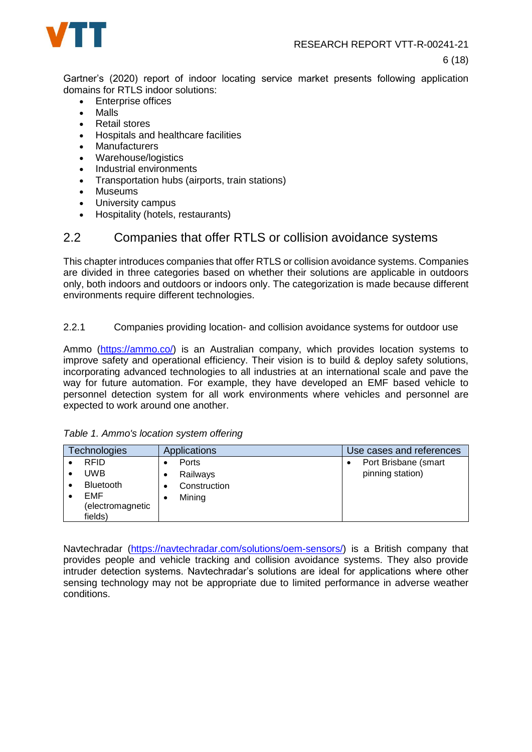

Gartner's (2020) report of indoor locating service market presents following application domains for RTLS indoor solutions:

- Enterprise offices
- Malls
- Retail stores
- Hospitals and healthcare facilities
- Manufacturers
- Warehouse/logistics
- Industrial environments
- Transportation hubs (airports, train stations)
- Museums
- University campus
- Hospitality (hotels, restaurants)

## 2.2 Companies that offer RTLS or collision avoidance systems

This chapter introduces companies that offer RTLS or collision avoidance systems. Companies are divided in three categories based on whether their solutions are applicable in outdoors only, both indoors and outdoors or indoors only. The categorization is made because different environments require different technologies.

#### 2.2.1 Companies providing location- and collision avoidance systems for outdoor use

Ammo [\(https://ammo.co/\)](https://ammo.co/) is an Australian company, which provides location systems to improve safety and operational efficiency. Their vision is to build & deploy safety solutions, incorporating advanced technologies to all industries at an international scale and pave the way for future automation. For example, they have developed an EMF based vehicle to personnel detection system for all work environments where vehicles and personnel are expected to work around one another.

| Technologies                                                                        | Applications                                | Use cases and references                 |
|-------------------------------------------------------------------------------------|---------------------------------------------|------------------------------------------|
| <b>RFID</b><br><b>UWB</b><br><b>Bluetooth</b><br>EMF<br>electromagnetic)<br>fields) | Ports<br>Railways<br>Construction<br>Mining | Port Brisbane (smart<br>pinning station) |

*Table 1. Ammo's location system offering*

Navtechradar [\(https://navtechradar.com/solutions/oem-sensors/\)](https://navtechradar.com/solutions/oem-sensors/) is a British company that provides people and vehicle tracking and collision avoidance systems. They also provide intruder detection systems. Navtechradar's solutions are ideal for applications where other sensing technology may not be appropriate due to limited performance in adverse weather conditions.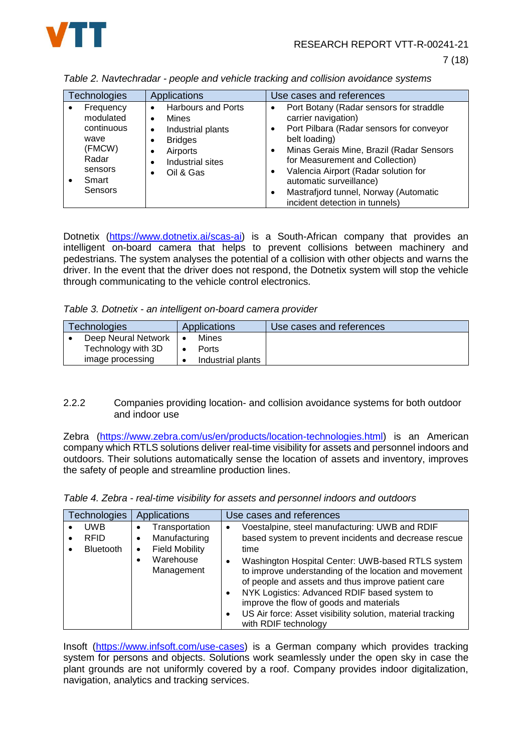

| <b>Applications</b><br><b>Technologies</b>                                                     |                                                                                                                                                                                   | Use cases and references                                                                                                                                                                                                                                                                                                                                 |
|------------------------------------------------------------------------------------------------|-----------------------------------------------------------------------------------------------------------------------------------------------------------------------------------|----------------------------------------------------------------------------------------------------------------------------------------------------------------------------------------------------------------------------------------------------------------------------------------------------------------------------------------------------------|
| Frequency<br>modulated<br>continuous<br>wave<br>(FMCW)<br>Radar<br>sensors<br>Smart<br>Sensors | <b>Harbours and Ports</b><br>$\bullet$<br><b>Mines</b><br>Industrial plants<br>$\bullet$<br><b>Bridges</b><br>Airports<br>Industrial sites<br>$\bullet$<br>Oil & Gas<br>$\bullet$ | Port Botany (Radar sensors for straddle<br>carrier navigation)<br>Port Pilbara (Radar sensors for conveyor<br>belt loading)<br>Minas Gerais Mine, Brazil (Radar Sensors<br>for Measurement and Collection)<br>Valencia Airport (Radar solution for<br>automatic surveillance)<br>Mastrafjord tunnel, Norway (Automatic<br>incident detection in tunnels) |

*Table 2. Navtechradar - people and vehicle tracking and collision avoidance systems*

Dotnetix [\(https://www.dotnetix.ai/scas-ai\)](https://www.dotnetix.ai/scas-ai) is a South-African company that provides an intelligent on-board camera that helps to prevent collisions between machinery and pedestrians. The system analyses the potential of a collision with other objects and warns the driver. In the event that the driver does not respond, the Dotnetix system will stop the vehicle through communicating to the vehicle control electronics.

| Table 3. Dotnetix - an intelligent on-board camera provider |  |  |
|-------------------------------------------------------------|--|--|
|                                                             |  |  |

| <b>Technologies</b>                                           | Applications                               | Use cases and references |
|---------------------------------------------------------------|--------------------------------------------|--------------------------|
| Deep Neural Network<br>Technology with 3D<br>image processing | <b>Mines</b><br>Ports<br>Industrial plants |                          |

#### 2.2.2 Companies providing location- and collision avoidance systems for both outdoor and indoor use

Zebra [\(https://www.zebra.com/us/en/products/location-technologies.html\)](https://www.zebra.com/us/en/products/location-technologies.html) is an American company which RTLS solutions deliver real-time visibility for assets and personnel indoors and outdoors. Their solutions automatically sense the location of assets and inventory, improves the safety of people and streamline production lines.

| <b>Technologies</b>                                                     | Applications                                                                             | Use cases and references                                                                                                                                                                                                                                                                                                                                                                                                                                                          |  |
|-------------------------------------------------------------------------|------------------------------------------------------------------------------------------|-----------------------------------------------------------------------------------------------------------------------------------------------------------------------------------------------------------------------------------------------------------------------------------------------------------------------------------------------------------------------------------------------------------------------------------------------------------------------------------|--|
| <b>UWB</b><br>$\bullet$<br><b>RFID</b><br><b>Bluetooth</b><br>$\bullet$ | Transportation<br>Manufacturing<br><b>Field Mobility</b><br>٠<br>Warehouse<br>Management | Voestalpine, steel manufacturing: UWB and RDIF<br>$\bullet$<br>based system to prevent incidents and decrease rescue<br>time<br>Washington Hospital Center: UWB-based RTLS system<br>to improve understanding of the location and movement<br>of people and assets and thus improve patient care<br>NYK Logistics: Advanced RDIF based system to<br>improve the flow of goods and materials<br>US Air force: Asset visibility solution, material tracking<br>with RDIF technology |  |

*Table 4. Zebra - real-time visibility for assets and personnel indoors and outdoors*

Insoft [\(https://www.infsoft.com/use-cases\)](https://www.infsoft.com/use-cases) is a German company which provides tracking system for persons and objects. Solutions work seamlessly under the open sky in case the plant grounds are not uniformly covered by a roof. Company provides indoor digitalization, navigation, analytics and tracking services.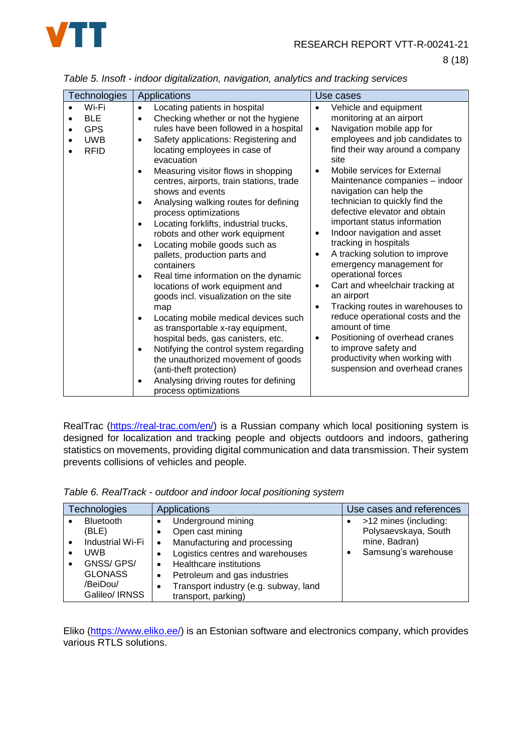

| <b>Technologies</b>                                            | Applications                                                                                                                                                                                                                                                                                                                                                                                                                                                                                                                                                                                                                                                                                                                                                                                                                                                                                                                                                                                                                                                           | Use cases                                                                                                                                                                                                                                                                                                                                                                                                                                                                                                                                                                                                                                                                                                                                                                                                                                                                     |  |  |  |  |  |  |
|----------------------------------------------------------------|------------------------------------------------------------------------------------------------------------------------------------------------------------------------------------------------------------------------------------------------------------------------------------------------------------------------------------------------------------------------------------------------------------------------------------------------------------------------------------------------------------------------------------------------------------------------------------------------------------------------------------------------------------------------------------------------------------------------------------------------------------------------------------------------------------------------------------------------------------------------------------------------------------------------------------------------------------------------------------------------------------------------------------------------------------------------|-------------------------------------------------------------------------------------------------------------------------------------------------------------------------------------------------------------------------------------------------------------------------------------------------------------------------------------------------------------------------------------------------------------------------------------------------------------------------------------------------------------------------------------------------------------------------------------------------------------------------------------------------------------------------------------------------------------------------------------------------------------------------------------------------------------------------------------------------------------------------------|--|--|--|--|--|--|
| Wi-Fi<br><b>BLE</b><br><b>GPS</b><br><b>UWB</b><br><b>RFID</b> | Locating patients in hospital<br>$\bullet$<br>Checking whether or not the hygiene<br>rules have been followed in a hospital<br>Safety applications: Registering and<br>$\bullet$<br>locating employees in case of<br>evacuation<br>Measuring visitor flows in shopping<br>$\bullet$<br>centres, airports, train stations, trade<br>shows and events<br>Analysing walking routes for defining<br>$\bullet$<br>process optimizations<br>Locating forklifts, industrial trucks,<br>$\bullet$<br>robots and other work equipment<br>Locating mobile goods such as<br>$\bullet$<br>pallets, production parts and<br>containers<br>Real time information on the dynamic<br>٠<br>locations of work equipment and<br>goods incl. visualization on the site<br>map<br>Locating mobile medical devices such<br>as transportable x-ray equipment,<br>hospital beds, gas canisters, etc.<br>Notifying the control system regarding<br>$\bullet$<br>the unauthorized movement of goods<br>(anti-theft protection)<br>Analysing driving routes for defining<br>process optimizations | Vehicle and equipment<br>monitoring at an airport<br>Navigation mobile app for<br>$\bullet$<br>employees and job candidates to<br>find their way around a company<br>site<br>Mobile services for External<br>$\bullet$<br>Maintenance companies - indoor<br>navigation can help the<br>technician to quickly find the<br>defective elevator and obtain<br>important status information<br>Indoor navigation and asset<br>$\bullet$<br>tracking in hospitals<br>A tracking solution to improve<br>$\bullet$<br>emergency management for<br>operational forces<br>Cart and wheelchair tracking at<br>$\bullet$<br>an airport<br>Tracking routes in warehouses to<br>$\bullet$<br>reduce operational costs and the<br>amount of time<br>Positioning of overhead cranes<br>$\bullet$<br>to improve safety and<br>productivity when working with<br>suspension and overhead cranes |  |  |  |  |  |  |

|  |  | Table 5. Insoft - indoor digitalization, navigation, analytics and tracking services |
|--|--|--------------------------------------------------------------------------------------|
|  |  |                                                                                      |

RealTrac [\(https://real-trac.com/en/\)](https://real-trac.com/en/) is a Russian company which local positioning system is designed for localization and tracking people and objects outdoors and indoors, gathering statistics on movements, providing digital communication and data transmission. Their system prevents collisions of vehicles and people.

|  | Table 6. RealTrack - outdoor and indoor local positioning system |  |  |  |  |  |
|--|------------------------------------------------------------------|--|--|--|--|--|
|--|------------------------------------------------------------------|--|--|--|--|--|

| <b>Technologies</b>                                                                                               | Applications                                                                                                                                                                                                                                                 | Use cases and references                                                              |  |
|-------------------------------------------------------------------------------------------------------------------|--------------------------------------------------------------------------------------------------------------------------------------------------------------------------------------------------------------------------------------------------------------|---------------------------------------------------------------------------------------|--|
| <b>Bluetooth</b><br>(BLE)<br>Industrial Wi-Fi<br>UWB<br>GNSS/GPS/<br><b>GLONASS</b><br>/BeiDou/<br>Galileo/ IRNSS | Underground mining<br>Open cast mining<br>Manufacturing and processing<br>$\bullet$<br>Logistics centres and warehouses<br>Healthcare institutions<br>Petroleum and gas industries<br>٠<br>Transport industry (e.g. subway, land<br>٠<br>transport, parking) | >12 mines (including:<br>Polysaevskaya, South<br>mine, Badran)<br>Samsung's warehouse |  |

Eliko [\(https://www.eliko.ee/\)](https://www.eliko.ee/) is an Estonian software and electronics company, which provides various RTLS solutions.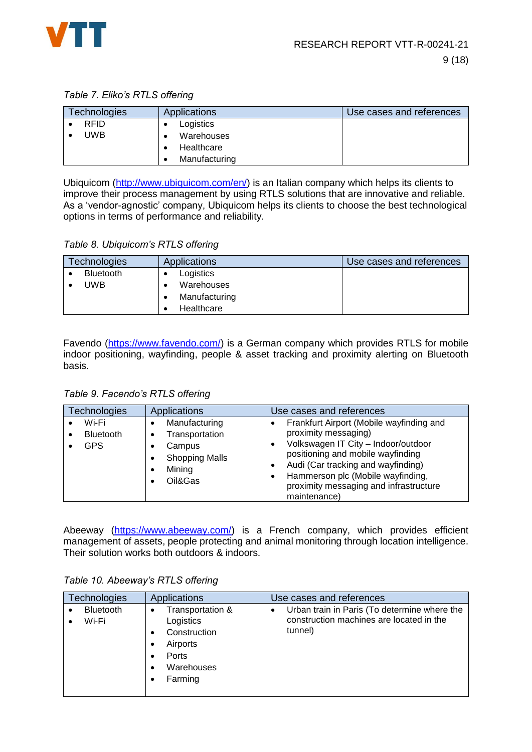

#### *Table 7. Eliko's RTLS offering*

| <b>Technologies</b> | Applications  | Use cases and references |
|---------------------|---------------|--------------------------|
| <b>RFID</b>         | Logistics     |                          |
| UWB                 | Warehouses    |                          |
|                     | Healthcare    |                          |
|                     | Manufacturing |                          |

Ubiquicom [\(http://www.ubiquicom.com/en/\)](http://www.ubiquicom.com/en/) is an Italian company which helps its clients to improve their process management by using RTLS solutions that are innovative and reliable. As a 'vendor-agnostic' company, Ubiquicom helps its clients to choose the best technological options in terms of performance and reliability.

#### *Table 8. Ubiquicom's RTLS offering*

| Technologies     | Applications  | Use cases and references |
|------------------|---------------|--------------------------|
| <b>Bluetooth</b> | Logistics     |                          |
| UWB              | Warehouses    |                          |
|                  | Manufacturing |                          |
|                  | Healthcare    |                          |

Favendo [\(https://www.favendo.com/\)](https://www.favendo.com/) is a German company which provides RTLS for mobile indoor positioning, wayfinding, people & asset tracking and proximity alerting on Bluetooth basis.

*Table 9. Facendo's RTLS offering*

| <b>Technologies</b>              | Applications                                                                                 | Use cases and references                                                                                                                                                                                                                                                                       |
|----------------------------------|----------------------------------------------------------------------------------------------|------------------------------------------------------------------------------------------------------------------------------------------------------------------------------------------------------------------------------------------------------------------------------------------------|
| Wi-Fi<br><b>Bluetooth</b><br>GPS | Manufacturing<br>Transportation<br>٠<br>Campus<br><b>Shopping Malls</b><br>Mining<br>Oil&Gas | Frankfurt Airport (Mobile wayfinding and<br>$\bullet$<br>proximity messaging)<br>Volkswagen IT City - Indoor/outdoor<br>positioning and mobile wayfinding<br>Audi (Car tracking and wayfinding)<br>Hammerson plc (Mobile wayfinding,<br>proximity messaging and infrastructure<br>maintenance) |

Abeeway [\(https://www.abeeway.com/\)](https://www.abeeway.com/) is a French company, which provides efficient management of assets, people protecting and animal monitoring through location intelligence. Their solution works both outdoors & indoors.

| <b>Technologies</b>       | Applications                                                                                                  | Use cases and references                                                                            |
|---------------------------|---------------------------------------------------------------------------------------------------------------|-----------------------------------------------------------------------------------------------------|
| <b>Bluetooth</b><br>Wi-Fi | Transportation &<br>Logistics<br>Construction<br>٠<br>Airports<br>Ports<br>Warehouses<br>$\bullet$<br>Farming | Urban train in Paris (To determine where the<br>construction machines are located in the<br>tunnel) |

*Table 10. Abeeway's RTLS offering*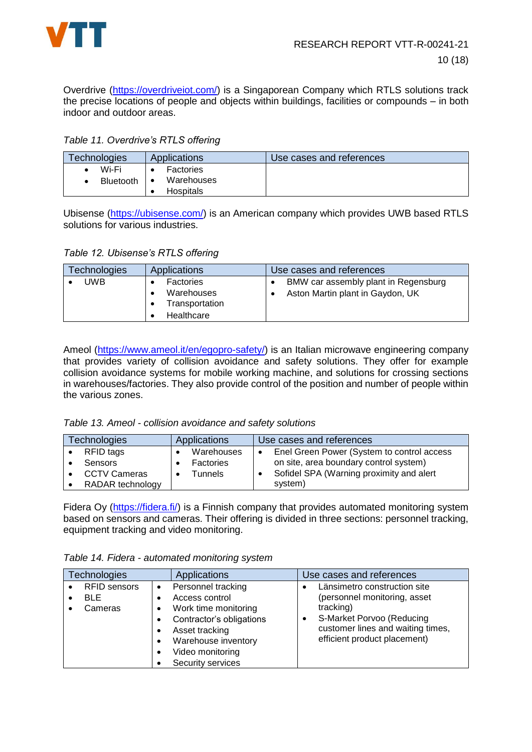

Overdrive [\(https://overdriveiot.com/\)](https://overdriveiot.com/) is a Singaporean Company which RTLS solutions track the precise locations of people and objects within buildings, facilities or compounds – in both indoor and outdoor areas.

*Table 11. Overdrive's RTLS offering*

| <b>Technologies</b>       | Applications                                | Use cases and references |
|---------------------------|---------------------------------------------|--------------------------|
| Wi-Fi<br><b>Bluetooth</b> | Factories<br>Warehouses<br><b>Hospitals</b> |                          |

Ubisense [\(https://ubisense.com/\)](https://ubisense.com/) is an American company which provides UWB based RTLS solutions for various industries.

*Table 12. Ubisense's RTLS offering*

| <b>Fechnologies</b> | Applications                                            | Use cases and references                                                 |
|---------------------|---------------------------------------------------------|--------------------------------------------------------------------------|
| JWB                 | Factories<br>Warehouses<br>Transportation<br>Healthcare | BMW car assembly plant in Regensburg<br>Aston Martin plant in Gaydon, UK |

Ameol [\(https://www.ameol.it/en/egopro-safety/\)](https://www.ameol.it/en/egopro-safety/) is an Italian microwave engineering company that provides variety of collision avoidance and safety solutions. They offer for example collision avoidance systems for mobile working machine, and solutions for crossing sections in warehouses/factories. They also provide control of the position and number of people within the various zones.

*Table 13. Ameol - collision avoidance and safety solutions*

| <b>Technologies</b> | Applications | Use cases and references                                |
|---------------------|--------------|---------------------------------------------------------|
| RFID tags           | Warehouses   | Enel Green Power (System to control access<br>$\bullet$ |
| <b>Sensors</b>      | Factories    | on site, area boundary control system)                  |
| <b>CCTV Cameras</b> | Tunnels      | Sofidel SPA (Warning proximity and alert                |
| RADAR technology    |              | system)                                                 |

Fidera Oy [\(https://fidera.fi/\)](https://fidera.fi/) is a Finnish company that provides automated monitoring system based on sensors and cameras. Their offering is divided in three sections: personnel tracking, equipment tracking and video monitoring.

| <b>Technologies</b>                          |                                            | Applications                                                                                                                                                               | Use cases and references                                                                                                                                                    |
|----------------------------------------------|--------------------------------------------|----------------------------------------------------------------------------------------------------------------------------------------------------------------------------|-----------------------------------------------------------------------------------------------------------------------------------------------------------------------------|
| <b>RFID sensors</b><br><b>BLE</b><br>Cameras | $\bullet$<br>٠<br>٠<br>٠<br>٠<br>$\bullet$ | Personnel tracking<br>Access control<br>Work time monitoring<br>Contractor's obligations<br>Asset tracking<br>Warehouse inventory<br>Video monitoring<br>Security services | Länsimetro construction site<br>(personnel monitoring, asset<br>tracking)<br>S-Market Porvoo (Reducing<br>customer lines and waiting times,<br>efficient product placement) |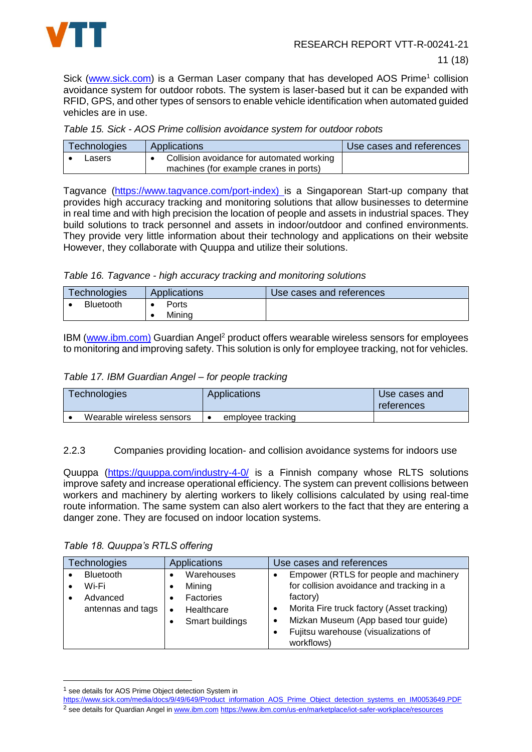

Sick [\(www.sick.com\)](http://www.sick.com/) is a German Laser company that has developed AOS Prime<sup>1</sup> collision avoidance system for outdoor robots. The system is laser-based but it can be expanded with RFID, GPS, and other types of sensors to enable vehicle identification when automated guided vehicles are in use.

| Table 15. Sick - AOS Prime collision avoidance system for outdoor robots |  |
|--------------------------------------------------------------------------|--|
|--------------------------------------------------------------------------|--|

| <b>Technologies</b> | Applications                                                                        | Use cases and references |
|---------------------|-------------------------------------------------------------------------------------|--------------------------|
| Lasers              | Collision avoidance for automated working<br>machines (for example cranes in ports) |                          |

Tagvance [\(https://www.tagvance.com/port-index\)](https://www.tagvance.com/port-index) is a Singaporean Start-up company that provides high accuracy tracking and monitoring solutions that allow businesses to determine in real time and with high precision the location of people and assets in industrial spaces. They build solutions to track personnel and assets in indoor/outdoor and confined environments. They provide very little information about their technology and applications on their website However, they collaborate with Quuppa and utilize their solutions.

*Table 16. Tagvance - high accuracy tracking and monitoring solutions*

| <b>Fechnologies</b> | <b>Applications</b> | Use cases and references |
|---------------------|---------------------|--------------------------|
| <b>Bluetooth</b>    | Ports               |                          |
|                     | Minina              |                          |

IBM [\(www.ibm.com\)](http://www.ibm.com/) Guardian Angel<sup>2</sup> product offers wearable wireless sensors for employees to monitoring and improving safety. This solution is only for employee tracking, not for vehicles.

#### *Table 17. IBM Guardian Angel – for people tracking*

| <b>Technologies</b>       | Applications      | Use cases and<br>references |
|---------------------------|-------------------|-----------------------------|
| Wearable wireless sensors | employee tracking |                             |

#### 2.2.3 Companies providing location- and collision avoidance systems for indoors use

Quuppa [\(https://quuppa.com/industry-4-0/](https://quuppa.com/industry-4-0/) is a Finnish company whose RLTS solutions improve safety and increase operational efficiency. The system can prevent collisions between workers and machinery by alerting workers to likely collisions calculated by using real-time route information. The same system can also alert workers to the fact that they are entering a danger zone. They are focused on indoor location systems.

*Table 18. Quuppa's RTLS offering*

| <b>Technologies</b>                    | Applications                                         | Use cases and references                                                                                                                             |
|----------------------------------------|------------------------------------------------------|------------------------------------------------------------------------------------------------------------------------------------------------------|
| <b>Bluetooth</b>                       | Warehouses                                           | Empower (RTLS for people and machinery<br>$\bullet$<br>for collision avoidance and tracking in a                                                     |
| Wi-Fi<br>Advanced<br>antennas and tags | Mining<br>Factories<br>Healthcare<br>Smart buildings | factory)<br>Morita Fire truck factory (Asset tracking)<br>Mizkan Museum (App based tour guide)<br>Fujitsu warehouse (visualizations of<br>workflows) |

<sup>&</sup>lt;sup>1</sup> see details for AOS Prime Object detection System in

[https://www.sick.com/media/docs/9/49/649/Product\\_information\\_AOS\\_Prime\\_Object\\_detection\\_systems\\_en\\_IM0053649.PDF](https://www.sick.com/media/docs/9/49/649/Product_information_AOS_Prime_Object_detection_systems_en_IM0053649.PDF)

<sup>&</sup>lt;sup>2</sup> see details for Quardian Angel in [www.ibm.com](http://www.ibm.com/) <https://www.ibm.com/us-en/marketplace/iot-safer-workplace/resources>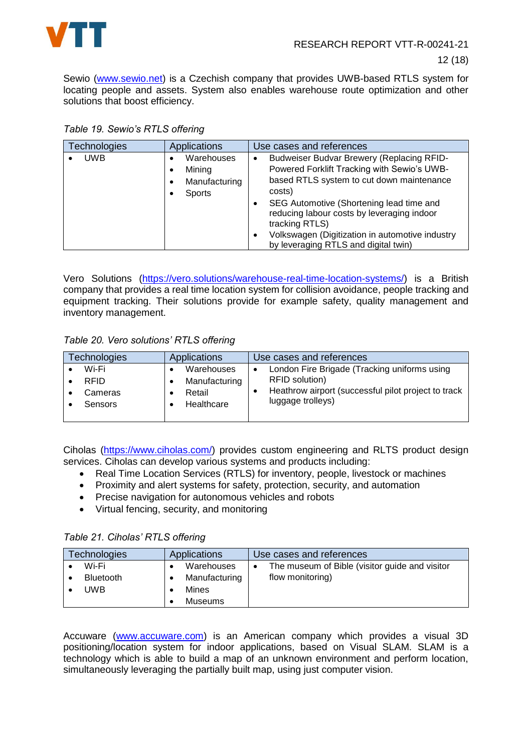

Sewio [\(www.sewio.net\)](http://www.sewio.net/) is a Czechish company that provides UWB-based RTLS system for locating people and assets. System also enables warehouse route optimization and other solutions that boost efficiency.

| <b>Technologies</b> | Applications                                           | Use cases and references                                                                                                                                                                                                                                                                                                                                                                             |
|---------------------|--------------------------------------------------------|------------------------------------------------------------------------------------------------------------------------------------------------------------------------------------------------------------------------------------------------------------------------------------------------------------------------------------------------------------------------------------------------------|
| <b>UWB</b>          | Warehouses<br>Mining<br>Manufacturing<br><b>Sports</b> | <b>Budweiser Budvar Brewery (Replacing RFID-</b><br>$\bullet$<br>Powered Forklift Tracking with Sewio's UWB-<br>based RTLS system to cut down maintenance<br>costs)<br>SEG Automotive (Shortening lead time and<br>$\bullet$<br>reducing labour costs by leveraging indoor<br>tracking RTLS)<br>Volkswagen (Digitization in automotive industry<br>$\bullet$<br>by leveraging RTLS and digital twin) |

| Table 19. Sewio's RTLS offering |  |  |  |
|---------------------------------|--|--|--|
|---------------------------------|--|--|--|

Vero Solutions [\(https://vero.solutions/warehouse-real-time-location-systems/\)](https://vero.solutions/warehouse-real-time-location-systems/) is a British company that provides a real time location system for collision avoidance, people tracking and equipment tracking. Their solutions provide for example safety, quality management and inventory management.

*Table 20. Vero solutions' RTLS offering*

| Technologies                                      | Applications                                        | Use cases and references                                                                                                                                |
|---------------------------------------------------|-----------------------------------------------------|---------------------------------------------------------------------------------------------------------------------------------------------------------|
| Wi-Fi<br><b>RFID</b><br>Cameras<br><b>Sensors</b> | Warehouses<br>Manufacturing<br>Retail<br>Healthcare | London Fire Brigade (Tracking uniforms using<br>$\bullet$<br>RFID solution)<br>Heathrow airport (successful pilot project to track<br>luggage trolleys) |

Ciholas [\(https://www.ciholas.com/\)](https://www.ciholas.com/) provides custom engineering and RLTS product design services. Ciholas can develop various systems and products including:

- Real Time Location Services (RTLS) for inventory, people, livestock or machines
- Proximity and alert systems for safety, protection, security, and automation
- Precise navigation for autonomous vehicles and robots
- Virtual fencing, security, and monitoring

| Technologies     | Applications   |           | Use cases and references                       |
|------------------|----------------|-----------|------------------------------------------------|
| Wi-Fi            | Warehouses     | $\bullet$ | The museum of Bible (visitor guide and visitor |
| <b>Bluetooth</b> | Manufacturing  |           | flow monitoring)                               |
| JWB              | Mines          |           |                                                |
|                  | <b>Museums</b> |           |                                                |

Accuware [\(www.accuware.com\)](http://www.accuware.com/) is an American company which provides a visual 3D positioning/location system for indoor applications, based on Visual SLAM. SLAM is a technology which is able to build a map of an unknown environment and perform location, simultaneously leveraging the partially built map, using just computer vision.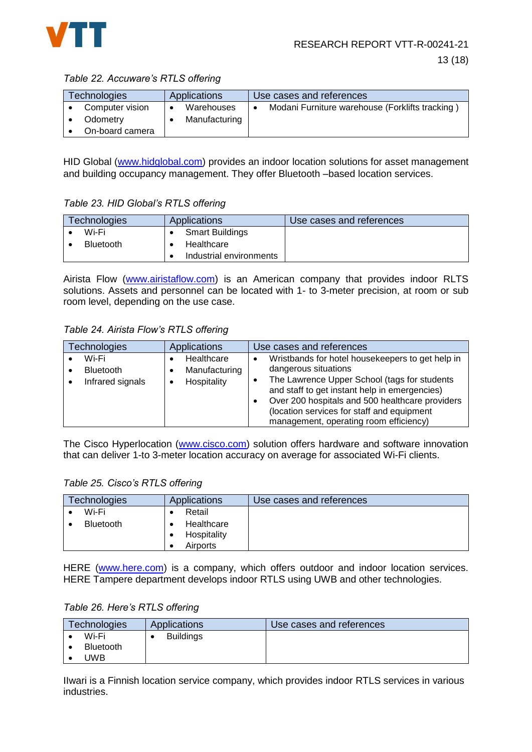

#### *Table 22. Accuware's RTLS offering*

| <b>Technologies</b>         | Applications  | Use cases and references                        |
|-----------------------------|---------------|-------------------------------------------------|
| Computer vision             | Warehouses    | Modani Furniture warehouse (Forklifts tracking) |
| Odometry<br>On-board camera | Manufacturing |                                                 |

HID Global [\(www.hidglobal.com\)](http://www.hidglobal.com/) provides an indoor location solutions for asset management and building occupancy management. They offer Bluetooth –based location services.

#### *Table 23. HID Global's RTLS offering*

| <b>Technologies</b> | Applications            | Use cases and references |
|---------------------|-------------------------|--------------------------|
| Wi-Fi               | <b>Smart Buildings</b>  |                          |
| Bluetooth           | Healthcare              |                          |
|                     | Industrial environments |                          |

Airista Flow [\(www.airistaflow.com\)](http://www.airistaflow.com/) is an American company that provides indoor RLTS solutions. Assets and personnel can be located with 1- to 3-meter precision, at room or sub room level, depending on the use case.

#### *Table 24. Airista Flow's RTLS offering*

| <b>Technologies</b>                           | Applications                               | Use cases and references                                                                                                                                                                                                                                                                                                                            |
|-----------------------------------------------|--------------------------------------------|-----------------------------------------------------------------------------------------------------------------------------------------------------------------------------------------------------------------------------------------------------------------------------------------------------------------------------------------------------|
| Wi-Fi<br><b>Bluetooth</b><br>Infrared signals | Healthcare<br>Manufacturing<br>Hospitality | Wristbands for hotel housekeepers to get help in<br>$\bullet$<br>dangerous situations<br>The Lawrence Upper School (tags for students<br>$\bullet$<br>and staff to get instant help in emergencies)<br>Over 200 hospitals and 500 healthcare providers<br>٠<br>(location services for staff and equipment<br>management, operating room efficiency) |

The Cisco Hyperlocation [\(www.cisco.com\)](http://www.cisco.com/) solution offers hardware and software innovation that can deliver 1-to 3-meter location accuracy on average for associated Wi-Fi clients.

| Technologies     | Applications | Use cases and references |
|------------------|--------------|--------------------------|
| Wi-Fi            | Retail       |                          |
| <b>Bluetooth</b> | Healthcare   |                          |
|                  | Hospitality  |                          |
|                  | Airports     |                          |

HERE [\(www.here.com\)](http://www.here.com/) is a company, which offers outdoor and indoor location services. HERE Tampere department develops indoor RTLS using UWB and other technologies.

| <b>Technologies</b> | Applications     | Use cases and references |
|---------------------|------------------|--------------------------|
| Wi-Fi               | <b>Buildings</b> |                          |
| <b>Bluetooth</b>    |                  |                          |
| JWB                 |                  |                          |

IIwari is a Finnish location service company, which provides indoor RTLS services in various industries.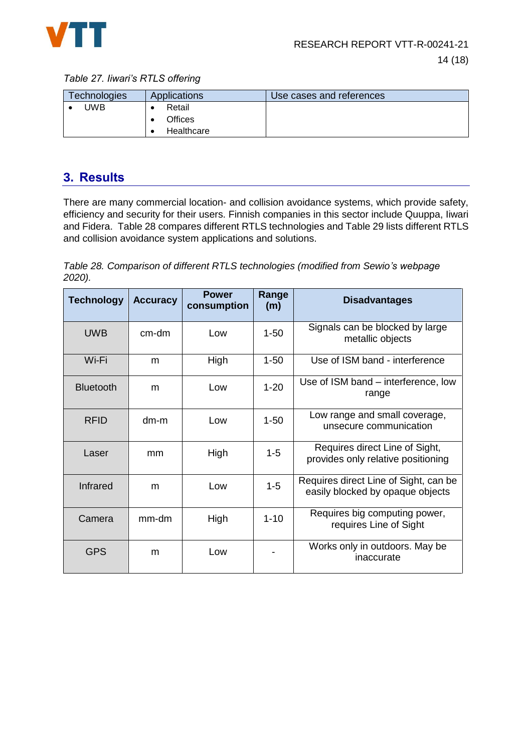

*Table 27. Iiwari's RTLS offering*

| <b>Technologies</b> | Applications      | Use cases and references |
|---------------------|-------------------|--------------------------|
| UWB                 | Retail<br>Offices |                          |
|                     | Healthcare        |                          |

# **3. Results**

There are many commercial location- and collision avoidance systems, which provide safety, efficiency and security for their users. Finnish companies in this sector include Quuppa, Iiwari and Fidera. Table 28 compares different RTLS technologies and Table 29 lists different RTLS and collision avoidance system applications and solutions.

*Table 28. Comparison of different RTLS technologies (modified from Sewio's webpage 2020).*

| <b>Technology</b> | <b>Accuracy</b> | <b>Power</b><br>consumption | Range<br>(m) | <b>Disadvantages</b>                                                      |
|-------------------|-----------------|-----------------------------|--------------|---------------------------------------------------------------------------|
| <b>UWB</b>        | $cm$ -dm        | Low                         | $1 - 50$     | Signals can be blocked by large<br>metallic objects                       |
| Wi-Fi             | m               | High                        | $1 - 50$     | Use of ISM band - interference                                            |
| <b>Bluetooth</b>  | m               | Low                         | $1 - 20$     | Use of ISM band – interference, low<br>range                              |
| <b>RFID</b>       | $dm-m$          | Low                         | $1 - 50$     | Low range and small coverage,<br>unsecure communication                   |
| Laser             | mm              | High                        | $1 - 5$      | Requires direct Line of Sight,<br>provides only relative positioning      |
| <b>Infrared</b>   | m               | Low                         | $1 - 5$      | Requires direct Line of Sight, can be<br>easily blocked by opaque objects |
| Camera            | mm-dm           | High                        | $1 - 10$     | Requires big computing power,<br>requires Line of Sight                   |
| <b>GPS</b>        | m               | Low                         |              | Works only in outdoors. May be<br>inaccurate                              |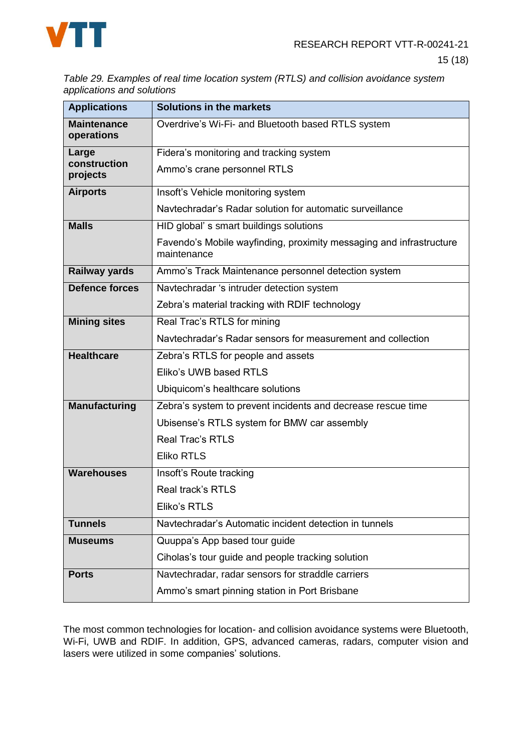

*Table 29. Examples of real time location system (RTLS) and collision avoidance system applications and solutions*

| <b>Applications</b>              | <b>Solutions in the markets</b>                                                    |  |  |  |
|----------------------------------|------------------------------------------------------------------------------------|--|--|--|
| <b>Maintenance</b><br>operations | Overdrive's Wi-Fi- and Bluetooth based RTLS system                                 |  |  |  |
| Large                            | Fidera's monitoring and tracking system                                            |  |  |  |
| construction<br>projects         | Ammo's crane personnel RTLS                                                        |  |  |  |
| <b>Airports</b>                  | Insoft's Vehicle monitoring system                                                 |  |  |  |
|                                  | Navtechradar's Radar solution for automatic surveillance                           |  |  |  |
| <b>Malls</b>                     | HID global's smart buildings solutions                                             |  |  |  |
|                                  | Favendo's Mobile wayfinding, proximity messaging and infrastructure<br>maintenance |  |  |  |
| <b>Railway yards</b>             | Ammo's Track Maintenance personnel detection system                                |  |  |  |
| <b>Defence forces</b>            | Navtechradar 's intruder detection system                                          |  |  |  |
|                                  | Zebra's material tracking with RDIF technology                                     |  |  |  |
| <b>Mining sites</b>              | Real Trac's RTLS for mining                                                        |  |  |  |
|                                  | Navtechradar's Radar sensors for measurement and collection                        |  |  |  |
| <b>Healthcare</b>                | Zebra's RTLS for people and assets                                                 |  |  |  |
|                                  | Eliko's UWB based RTLS                                                             |  |  |  |
|                                  | Ubiquicom's healthcare solutions                                                   |  |  |  |
| <b>Manufacturing</b>             | Zebra's system to prevent incidents and decrease rescue time                       |  |  |  |
|                                  | Ubisense's RTLS system for BMW car assembly                                        |  |  |  |
|                                  | <b>Real Trac's RTLS</b>                                                            |  |  |  |
|                                  | <b>Eliko RTLS</b>                                                                  |  |  |  |
| <b>Warehouses</b>                | Insoft's Route tracking                                                            |  |  |  |
|                                  | <b>Real track's RTLS</b>                                                           |  |  |  |
|                                  | Eliko's RTLS                                                                       |  |  |  |
| <b>Tunnels</b>                   | Navtechradar's Automatic incident detection in tunnels                             |  |  |  |
| <b>Museums</b>                   | Quuppa's App based tour guide                                                      |  |  |  |
|                                  | Ciholas's tour guide and people tracking solution                                  |  |  |  |
| <b>Ports</b>                     | Navtechradar, radar sensors for straddle carriers                                  |  |  |  |
|                                  | Ammo's smart pinning station in Port Brisbane                                      |  |  |  |

The most common technologies for location- and collision avoidance systems were Bluetooth, Wi-Fi, UWB and RDIF. In addition, GPS, advanced cameras, radars, computer vision and lasers were utilized in some companies' solutions.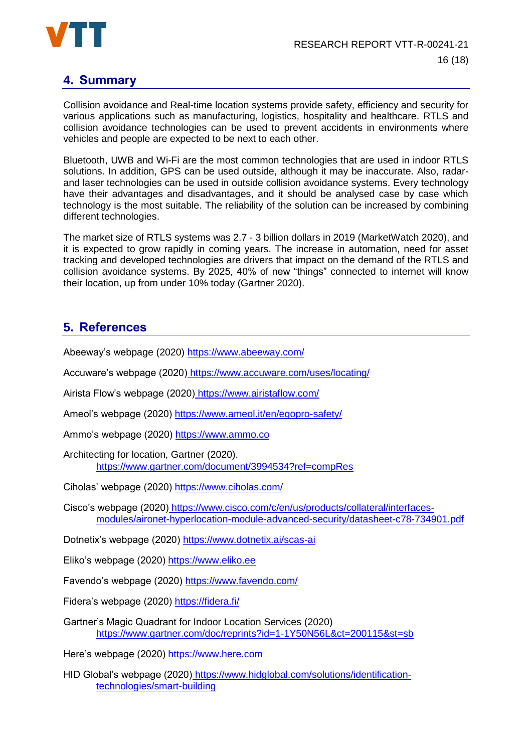

# **4. Summary**

Collision avoidance and Real-time location systems provide safety, efficiency and security for various applications such as manufacturing, logistics, hospitality and healthcare. RTLS and collision avoidance technologies can be used to prevent accidents in environments where vehicles and people are expected to be next to each other.

Bluetooth, UWB and Wi-Fi are the most common technologies that are used in indoor RTLS solutions. In addition, GPS can be used outside, although it may be inaccurate. Also, radarand laser technologies can be used in outside collision avoidance systems. Every technology have their advantages and disadvantages, and it should be analysed case by case which technology is the most suitable. The reliability of the solution can be increased by combining different technologies.

The market size of RTLS systems was 2.7 - 3 billion dollars in 2019 (MarketWatch 2020), and it is expected to grow rapidly in coming years. The increase in automation, need for asset tracking and developed technologies are drivers that impact on the demand of the RTLS and collision avoidance systems. By 2025, 40% of new "things" connected to internet will know their location, up from under 10% today (Gartner 2020).

## **5. References**

Abeeway's webpage (2020)<https://www.abeeway.com/>

Accuware's webpage (2020) <https://www.accuware.com/uses/locating/>

- Airista Flow's webpage (2020) <https://www.airistaflow.com/>
- Ameol's webpage (2020)<https://www.ameol.it/en/egopro-safety/>
- Ammo's webpage (2020) [https://www.ammo.co](https://www.ammo.co/)
- Architecting for location, Gartner (2020). <https://www.gartner.com/document/3994534?ref=compRes>

Ciholas' webpage (2020)<https://www.ciholas.com/>

Cisco's webpage (2020) [https://www.cisco.com/c/en/us/products/collateral/interfaces](https://www.cisco.com/c/en/us/products/collateral/interfaces-modules/aironet-hyperlocation-module-advanced-security/datasheet-c78-734901.pdf)[modules/aironet-hyperlocation-module-advanced-security/datasheet-c78-734901.pdf](https://www.cisco.com/c/en/us/products/collateral/interfaces-modules/aironet-hyperlocation-module-advanced-security/datasheet-c78-734901.pdf)

Dotnetix's webpage (2020)<https://www.dotnetix.ai/scas-ai>

Eliko's webpage (2020) [https://www.eliko.ee](https://www.eliko.ee/)

Favendo's webpage (2020)<https://www.favendo.com/>

Fidera's webpage (2020)<https://fidera.fi/>

Gartner's Magic Quadrant for Indoor Location Services (2020) <https://www.gartner.com/doc/reprints?id=1-1Y50N56L&ct=200115&st=sb>

Here's webpage (2020) [https://www.here.com](https://www.here.com/)

HID Global's webpage (2020) [https://www.hidglobal.com/solutions/identification](https://www.hidglobal.com/solutions/identification-technologies/smart-building)[technologies/smart-building](https://www.hidglobal.com/solutions/identification-technologies/smart-building)